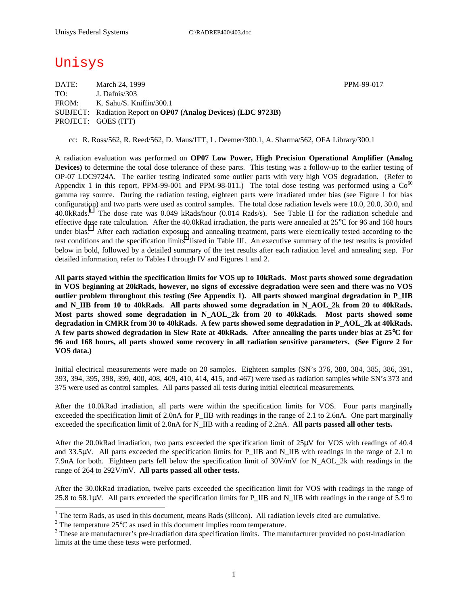## Unisys

 $\overline{a}$ 

DATE: March 24, 1999 **PPM-99-017** TO: J. Dafnis/303 FROM: K. Sahu/S. Kniffin/300.1 SUBJECT: Radiation Report on **OP07 (Analog Devices) (LDC 9723B)** PROJECT: GOES (ITT)

cc: R. Ross/562, R. Reed/562, D. Maus/ITT, L. Deemer/300.1, A. Sharma/562, OFA Library/300.1

A radiation evaluation was performed on **OP07 Low Power, High Precision Operational Amplifier (Analog Devices)** to determine the total dose tolerance of these parts. This testing was a follow-up to the earlier testing of OP-07 LDC9724A. The earlier testing indicated some outlier parts with very high VOS degradation. (Refer to Appendix 1 in this report, PPM-99-001 and PPM-98-011.) The total dose testing was performed using a  $Co^{60}$ gamma ray source. During the radiation testing, eighteen parts were irradiated under bias (see Figure 1 for bias configuration) and two parts were used as control samples. The total dose radiation levels were 10.0, 20.0, 30.0, and 40.0kRads.<sup>1</sup> The dose rate was 0.049 kRads/hour (0.014 Rads/s). See Table II for the radiation schedule and effective dose rate calculation. After the 40.0kRad irradiation, the parts were annealed at 25°C for 96 and 168 hours under bias.<sup>2</sup> After each radiation exposure and annealing treatment, parts were electrically tested according to the test conditions and the specification limits<sup>3</sup> listed in Table III. An executive summary of the test results is provided below in bold, followed by a detailed summary of the test results after each radiation level and annealing step. For detailed information, refer to Tables I through IV and Figures 1 and 2.

**All parts stayed within the specification limits for VOS up to 10kRads. Most parts showed some degradation in VOS beginning at 20kRads, however, no signs of excessive degradation were seen and there was no VOS outlier problem throughout this testing (See Appendix 1). All parts showed marginal degradation in P\_IIB**  and N\_IIB from 10 to 40kRads. All parts showed some degradation in N\_AOL\_2k from 20 to 40kRads. **Most parts showed some degradation in N\_AOL\_2k from 20 to 40kRads. Most parts showed some degradation in CMRR from 30 to 40kRads. A few parts showed some degradation in P\_AOL\_2k at 40kRads. A few parts showed degradation in Slew Rate at 40kRads. After annealing the parts under bias at 25**°**C for 96 and 168 hours, all parts showed some recovery in all radiation sensitive parameters. (See Figure 2 for VOS data.)** 

Initial electrical measurements were made on 20 samples. Eighteen samples (SN's 376, 380, 384, 385, 386, 391, 393, 394, 395, 398, 399, 400, 408, 409, 410, 414, 415, and 467) were used as radiation samples while SN's 373 and 375 were used as control samples. All parts passed all tests during initial electrical measurements.

After the 10.0kRad irradiation, all parts were within the specification limits for VOS. Four parts marginally exceeded the specification limit of 2.0nA for P\_IIB with readings in the range of 2.1 to 2.6nA. One part marginally exceeded the specification limit of 2.0nA for N\_IIB with a reading of 2.2nA. **All parts passed all other tests.** 

After the 20.0kRad irradiation, two parts exceeded the specification limit of 25µV for VOS with readings of 40.4 and 33.5µV. All parts exceeded the specification limits for P\_IIB and N\_IIB with readings in the range of 2.1 to 7.9nA for both. Eighteen parts fell below the specification limit of 30V/mV for N\_AOL\_2k with readings in the range of 264 to 292V/mV. **All parts passed all other tests.** 

After the 30.0kRad irradiation, twelve parts exceeded the specification limit for VOS with readings in the range of 25.8 to 58.1 $\mu$ V. All parts exceeded the specification limits for P\_IIB and N\_IIB with readings in the range of 5.9 to

<sup>&</sup>lt;sup>1</sup> The term Rads, as used in this document, means Rads (silicon). All radiation levels cited are cumulative.

<sup>&</sup>lt;sup>2</sup> The temperature 25 $^{\circ}$ C as used in this document implies room temperature.  $^3$  These are manufacturer's are irrediction date apositionism limits. The manufacturer's

<sup>&</sup>lt;sup>3</sup> These are manufacturer's pre-irradiation data specification limits. The manufacturer provided no post-irradiation limits at the time these tests were performed.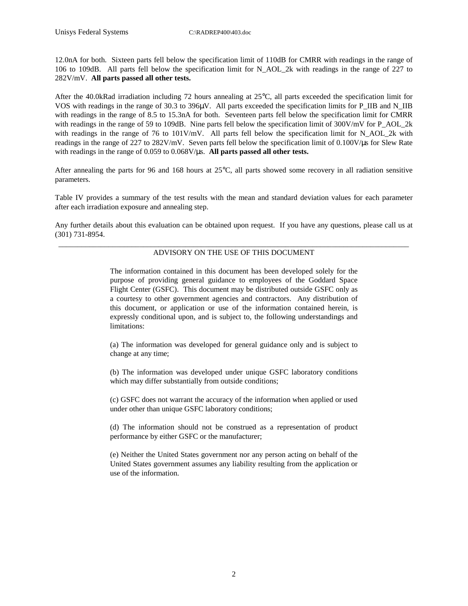12.0nA for both. Sixteen parts fell below the specification limit of 110dB for CMRR with readings in the range of 106 to 109dB. All parts fell below the specification limit for N\_AOL\_2k with readings in the range of 227 to 282V/mV. **All parts passed all other tests.** 

After the 40.0kRad irradiation including 72 hours annealing at 25°C, all parts exceeded the specification limit for VOS with readings in the range of 30.3 to 396 $\mu$ V. All parts exceeded the specification limits for P\_IIB and N\_IIB with readings in the range of 8.5 to 15.3nA for both. Seventeen parts fell below the specification limit for CMRR with readings in the range of 59 to 109dB. Nine parts fell below the specification limit of 300V/mV for P\_AOL\_2k with readings in the range of 76 to 101V/mV. All parts fell below the specification limit for N\_AOL\_2k with readings in the range of 227 to 282V/mV. Seven parts fell below the specification limit of 0.100V/µs for Slew Rate with readings in the range of 0.059 to 0.068V/ $\mu$ s. **All parts passed all other tests.** 

After annealing the parts for 96 and 168 hours at 25°C, all parts showed some recovery in all radiation sensitive parameters.

Table IV provides a summary of the test results with the mean and standard deviation values for each parameter after each irradiation exposure and annealing step.

Any further details about this evaluation can be obtained upon request. If you have any questions, please call us at (301) 731-8954.

#### \_\_\_\_\_\_\_\_\_\_\_\_\_\_\_\_\_\_\_\_\_\_\_\_\_\_\_\_\_\_\_\_\_\_\_\_\_\_\_\_\_\_\_\_\_\_\_\_\_\_\_\_\_\_\_\_\_\_\_\_\_\_\_\_\_\_\_\_\_\_\_\_\_\_\_\_\_\_\_\_\_\_\_\_\_\_\_\_\_\_\_ ADVISORY ON THE USE OF THIS DOCUMENT

The information contained in this document has been developed solely for the purpose of providing general guidance to employees of the Goddard Space Flight Center (GSFC). This document may be distributed outside GSFC only as a courtesy to other government agencies and contractors. Any distribution of this document, or application or use of the information contained herein, is expressly conditional upon, and is subject to, the following understandings and limitations:

(a) The information was developed for general guidance only and is subject to change at any time;

(b) The information was developed under unique GSFC laboratory conditions which may differ substantially from outside conditions;

(c) GSFC does not warrant the accuracy of the information when applied or used under other than unique GSFC laboratory conditions;

(d) The information should not be construed as a representation of product performance by either GSFC or the manufacturer;

(e) Neither the United States government nor any person acting on behalf of the United States government assumes any liability resulting from the application or use of the information.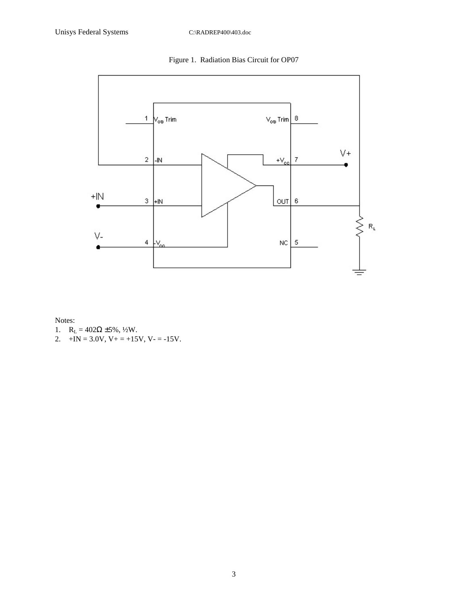Figure 1. Radiation Bias Circuit for OP07



Notes:

- 1.  $R_L = 402\Omega \pm 5\%, \frac{1}{2}W$ .
- 2.  $+IN = 3.0V$ ,  $V_+ = +15V$ ,  $V_- = -15V$ .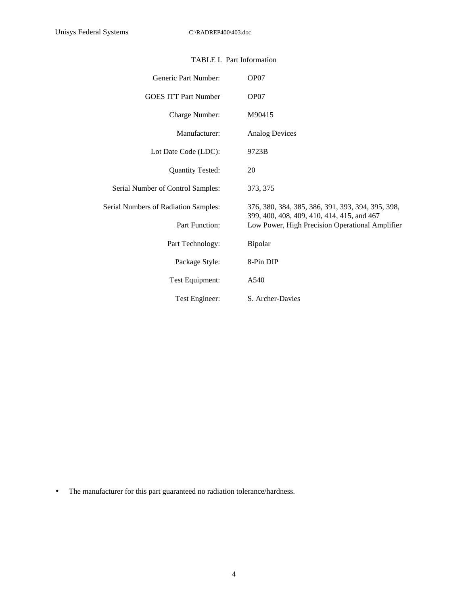| Generic Part Number:                 | OP07                                                                                          |  |  |  |  |  |  |
|--------------------------------------|-----------------------------------------------------------------------------------------------|--|--|--|--|--|--|
| <b>GOES ITT Part Number</b>          | OP07                                                                                          |  |  |  |  |  |  |
| Charge Number:                       | M90415                                                                                        |  |  |  |  |  |  |
| Manufacturer:                        | <b>Analog Devices</b>                                                                         |  |  |  |  |  |  |
| Lot Date Code (LDC):                 | 9723B                                                                                         |  |  |  |  |  |  |
| <b>Quantity Tested:</b>              | 20                                                                                            |  |  |  |  |  |  |
| Serial Number of Control Samples:    | 373, 375                                                                                      |  |  |  |  |  |  |
| Serial Numbers of Radiation Samples: | 376, 380, 384, 385, 386, 391, 393, 394, 395, 398,                                             |  |  |  |  |  |  |
| Part Function:                       | 399, 400, 408, 409, 410, 414, 415, and 467<br>Low Power, High Precision Operational Amplifier |  |  |  |  |  |  |
| Part Technology:                     | Bipolar                                                                                       |  |  |  |  |  |  |
| Package Style:                       | 8-Pin DIP                                                                                     |  |  |  |  |  |  |
| Test Equipment:                      | A540                                                                                          |  |  |  |  |  |  |
| Test Engineer:                       | S. Archer-Davies                                                                              |  |  |  |  |  |  |

## TABLE I. Part Information

• The manufacturer for this part guaranteed no radiation tolerance/hardness.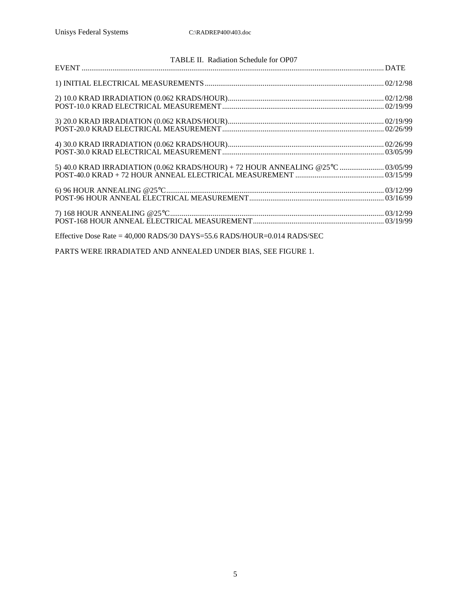| TABLE II. Radiation Schedule for OP07                                           |  |
|---------------------------------------------------------------------------------|--|
|                                                                                 |  |
|                                                                                 |  |
|                                                                                 |  |
|                                                                                 |  |
|                                                                                 |  |
| 5) 40.0 KRAD IRRADIATION (0.062 KRADS/HOUR) + 72 HOUR ANNEALING @25°C  03/05/99 |  |
|                                                                                 |  |
|                                                                                 |  |
| Effective Dose Rate = $40,000$ RADS/30 DAYS=55.6 RADS/HOUR= $0.014$ RADS/SEC    |  |

PARTS WERE IRRADIATED AND ANNEALED UNDER BIAS, SEE FIGURE 1.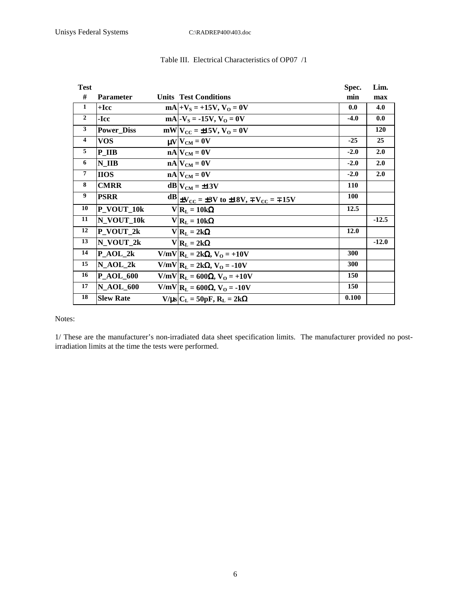| <b>Test</b>             |                   |                                                                               | Spec.      | Lim.       |
|-------------------------|-------------------|-------------------------------------------------------------------------------|------------|------------|
| #                       | <b>Parameter</b>  | <b>Units Test Conditions</b>                                                  | min        | max        |
| 1                       | $+$ Icc           | $mA$  + $V_S$ = +15V, $V_O$ = 0V                                              | 0.0        | 4.0        |
| $\overline{2}$          | -Icc              | $mA$ -V <sub>s</sub> = -15V, V <sub>o</sub> = 0V                              | $-4.0$     | 0.0        |
| 3                       | <b>Power Diss</b> | $mW V_{CC} = \pm 15V, V_0 = 0V$                                               |            | <b>120</b> |
| $\overline{\mathbf{4}}$ | <b>VOS</b>        | $\mu V V_{CM} = 0V$                                                           | $-25$      | 25         |
| 5                       | P IIB             | $nA$ $V_{CM} = 0V$                                                            | $-2.0$     | 2.0        |
| 6                       | N IIB             | $nA$ $V_{CM} = 0V$                                                            | $-2.0$     | 2.0        |
| $\overline{7}$          | <b>HOS</b>        | $nA$ $V_{CM} = 0V$                                                            | $-2.0$     | 2.0        |
| 8                       | <b>CMRR</b>       | $dB V_{CM} = \pm 13V$                                                         | <b>110</b> |            |
| 9                       | <b>PSRR</b>       | $\text{dB}$ +V <sub>CC</sub> = ±3V to ±18V, $\pm$ V <sub>CC</sub> = $\pm$ 15V | <b>100</b> |            |
| 10                      | P_VOUT_10k        | $V R_L = 10k\Omega$                                                           | 12.5       |            |
| 11                      | N VOUT 10k        | $V R_L = 10k\Omega$                                                           |            | $-12.5$    |
| 12                      | P VOUT_2k         | $V R_L = 2k\Omega$                                                            | 12.0       |            |
| 13                      | N_VOUT_2k         | $V R_L = 2k\Omega$                                                            |            | $-12.0$    |
| 14                      | $P_{A}OL_2k$      | $V/mV$   $R_L = 2k\Omega$ , $V_O = +10V$                                      | 300        |            |
| 15                      | $N_AOL_2k$        | $V/mV$ $R_L = 2k\Omega$ , $V_O = -10V$                                        | 300        |            |
| 16                      | <b>P_AOL_600</b>  | V/mV  $R_L$ = 600Ω, V <sub>O</sub> = +10V                                     | 150        |            |
| 17                      | <b>N_AOL_600</b>  | $V/mV$   $R_L$ = 600Ω, V <sub>O</sub> = -10V                                  | 150        |            |
| 18                      | <b>Slew Rate</b>  | $V/\mu s$ $C_L = 50pF$ , $R_L = 2k\Omega$                                     | 0.100      |            |

## Table III. Electrical Characteristics of OP07 /1

Notes:

1/ These are the manufacturer's non-irradiated data sheet specification limits. The manufacturer provided no postirradiation limits at the time the tests were performed.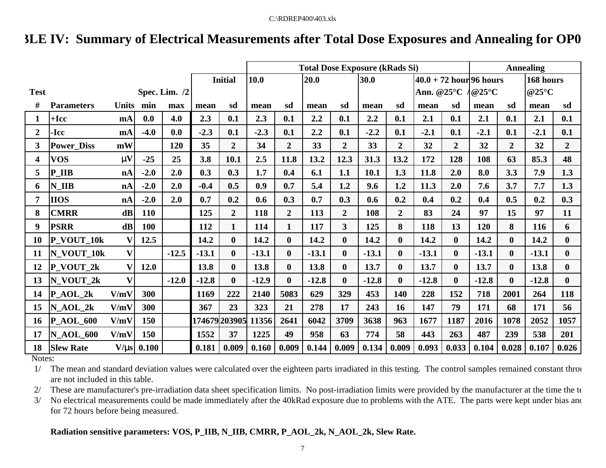# **TABLE IV: Summary of Electrical Measurements after Total Dose Exposures and Annealing for OP0**

|                  |                    |                |        |                 |         |                | <b>Total Dose Exposure (kRads Si)</b> |                |         |                   |         |                  |         |                | <b>Annealing</b> |                      |         |                |  |
|------------------|--------------------|----------------|--------|-----------------|---------|----------------|---------------------------------------|----------------|---------|-------------------|---------|------------------|---------|----------------|------------------|----------------------|---------|----------------|--|
|                  |                    |                |        |                 |         | <b>Initial</b> | 10.0<br>20.0                          |                | 30.0    | $40.0 + 72$ hours |         |                  |         |                | 168 hours        |                      |         |                |  |
| <b>Test</b>      |                    |                |        | Spec. Lim. $/2$ |         |                |                                       |                |         |                   |         |                  |         | Ann. $@25°C$   |                  | @25 $\rm{^{\circ}C}$ |         | @25°C          |  |
| #                | <b>Parameters</b>  | Units min      |        | max             | mean    | sd             | mean                                  | sd             | mean    | sd                | mean    | sd               | mean    | sd             | mean             | sd                   | mean    | sd             |  |
| 1                | $+$ Icc            | m <sub>A</sub> | 0.0    | 4.0             | 2.3     | 0.1            | 2.3                                   | 0.1            | 2.2     | 0.1               | 2.2     | 0.1              | 2.1     | 0.1            | 2.1              | 0.1                  | 2.1     | 0.1            |  |
| $\boldsymbol{2}$ | -Icc               | m <sub>A</sub> | $-4.0$ | 0.0             | $-2.3$  | 0.1            | $-2.3$                                | 0.1            | 2.2     | 0.1               | $-2.2$  | 0.1              | $-2.1$  | 0.1            | $-2.1$           | 0.1                  | $-2.1$  | 0.1            |  |
| 3                | <b>Power Diss</b>  | mW             |        | 120             | 35      | $\overline{2}$ | 34                                    | $\overline{2}$ | 33      | $\overline{2}$    | 33      | $\overline{2}$   | 32      | $\overline{2}$ | 32               | $\overline{2}$       | 32      | $\overline{2}$ |  |
| 4                | <b>VOS</b>         | mV             | $-25$  | 25              | 3.8     | 10.1           | 2.5                                   | 11.8           | 13.2    | 12.3              | 31.3    | 13.2             | 172     | 128            | 108              | 63                   | 85.3    | 48             |  |
| 5                | P IIB              | nA             | $-2.0$ | 2.0             | 0.3     | 0.3            | 1.7                                   | 0.4            | 6.1     | 1.1               | 10.1    | 1.3              | 11.8    | 2.0            | 8.0              | 3.3                  | 7.9     | 1.3            |  |
| 6                | $N$ <sub>IIB</sub> | nA             | $-2.0$ | 2.0             | $-0.4$  | 0.5            | 0.9                                   | 0.7            | 5.4     | 1.2               | 9.6     | 1.2              | 11.3    | 2.0            | 7.6              | 3.7                  | 7.7     | 1.3            |  |
| 7                | <b>IIOS</b>        | nA             | $-2.0$ | 2.0             | 0.7     | 0.2            | 0.6                                   | 0.3            | 0.7     | 0.3               | 0.6     | 0.2              | 0.4     | 0.2            | 0.4              | 0.5                  | 0.2     | 0.3            |  |
| 8                | <b>CMRR</b>        | $\mathbf{dB}$  | 110    |                 | 125     | $\overline{2}$ | 118                                   | $\overline{2}$ | 113     | $\overline{2}$    | 108     | $\overline{2}$   | 83      | 24             | 97               | 15                   | 97      | 11             |  |
| 9                | <b>PSRR</b>        | $\mathbf{dB}$  | 100    |                 | 112     | $\mathbf{1}$   | 114                                   | $\mathbf{1}$   | 117     | $\overline{3}$    | 125     | 8                | 118     | 13             | 120              | 8                    | 116     | 6              |  |
| 10               | P_VOUT_10k         | V              | 12.5   |                 | 14.2    | $\bf{0}$       | 14.2                                  | $\bf{0}$       | 14.2    | $\mathbf{0}$      | 14.2    | $\boldsymbol{0}$ | 14.2    | $\mathbf{0}$   | 14.2             | $\mathbf{0}$         | 14.2    | $\mathbf{0}$   |  |
| 11               | N VOUT 10k         | $\mathbf{V}$   |        | $-12.5$         | $-13.1$ | $\bf{0}$       | $-13.1$                               | $\bf{0}$       | $-13.1$ | $\mathbf{0}$      | $-13.1$ | $\bf{0}$         | $-13.1$ | $\mathbf{0}$   | $-13.1$          | $\boldsymbol{0}$     | $-13.1$ | $\bf{0}$       |  |
| 12               | P VOUT 2k          | v              | 12.0   |                 | 13.8    | $\bf{0}$       | 13.8                                  | $\bf{0}$       | 13.8    | $\mathbf{0}$      | 13.7    | $\bf{0}$         | 13.7    | $\bf{0}$       | 13.7             | $\mathbf{0}$         | 13.8    | $\bf{0}$       |  |
| 13               | N VOUT 2k          | $\mathbf{V}$   |        | $-12.0$         | $-12.8$ | $\mathbf{0}$   | $-12.9$                               | $\mathbf{0}$   | $-12.8$ | 0                 | $-12.8$ | $\mathbf 0$      | $-12.8$ | $\mathbf{0}$   | $-12.8$          | $\mathbf{0}$         | $-12.8$ | $\mathbf{0}$   |  |
| 14               | $P_{A}OL_{2k}$     | V/mV           | 300    |                 | 1169    | 222            | 2140                                  | 5083           | 629     | 329               | 453     | 140              | 228     | 152            | 718              | 2001                 | 264     | 118            |  |
| 15               | N AOL 2k           | V/mV           | 300    |                 | 367     | 23             | 323                                   | 21             | 278     | 17                | 243     | 16               | 147     | 79             | 171              | 68                   | 171     | 56             |  |
| 16               | <b>P_AOL_600</b>   | V/mV           | 150    |                 |         | 174679 203905  | 11356                                 | 2641           | 6042    | 3709              | 3638    | 963              | 1677    | 1187           | 2016             | 1078                 | 2052    | 1057           |  |
| 17               | <b>N AOL 600</b>   | V/mV           | 150    |                 | 1552    | 37             | 1225                                  | 49             | 958     | 63                | 774     | 58               | 443     | 263            | 487              | 239                  | 538     | 201            |  |
| 18               | <b>Slew Rate</b>   | V/ms           | 0.100  |                 | 0.181   | 0.009          | 0.160                                 | 0.009          | 0.144   | 0.009             | 0.134   | 0.009            | 0.093   | 0.033          | 0.104            | 0.028                | 0.107   | 0.026          |  |

Notes:

1/ The mean and standard deviation values were calculated over the eighteen parts irradiated in this testing. The control samples remained constant throughout throughout throughout testing and standard throughout throughou are not included in this table.

2/ These are manufacturer's pre-irradiation data sheet specification limits. No post-irradiation limits were provided by the manufacturer at the time the te

3/ No electrical measurements could be made immediately after the 40kRad exposure due to problems with the ATE. The parts were kept under bias and for 72 hours before being measured.

## **Radiation sensitive parameters: VOS, P\_IIB, N\_IIB, CMRR, P\_AOL\_2k, N\_AOL\_2k, Slew Rate.**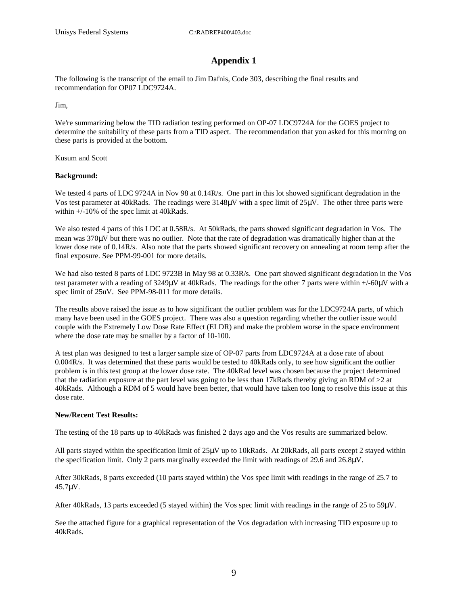## **Appendix 1**

The following is the transcript of the email to Jim Dafnis, Code 303, describing the final results and recommendation for OP07 LDC9724A.

Jim,

We're summarizing below the TID radiation testing performed on OP-07 LDC9724A for the GOES project to determine the suitability of these parts from a TID aspect. The recommendation that you asked for this morning on these parts is provided at the bottom.

Kusum and Scott

#### **Background:**

We tested 4 parts of LDC 9724A in Nov 98 at 0.14R/s. One part in this lot showed significant degradation in the Vos test parameter at 40kRads. The readings were 3148µV with a spec limit of 25µV. The other three parts were within +/-10% of the spec limit at 40kRads.

We also tested 4 parts of this LDC at 0.58R/s. At 50kRads, the parts showed significant degradation in Vos. The mean was 370µV but there was no outlier. Note that the rate of degradation was dramatically higher than at the lower dose rate of 0.14R/s. Also note that the parts showed significant recovery on annealing at room temp after the final exposure. See PPM-99-001 for more details.

We had also tested 8 parts of LDC 9723B in May 98 at 0.33R/s. One part showed significant degradation in the Vos test parameter with a reading of 3249µV at 40kRads. The readings for the other 7 parts were within +/-60µV with a spec limit of 25uV. See PPM-98-011 for more details.

The results above raised the issue as to how significant the outlier problem was for the LDC9724A parts, of which many have been used in the GOES project. There was also a question regarding whether the outlier issue would couple with the Extremely Low Dose Rate Effect (ELDR) and make the problem worse in the space environment where the dose rate may be smaller by a factor of 10-100.

A test plan was designed to test a larger sample size of OP-07 parts from LDC9724A at a dose rate of about 0.004R/s. It was determined that these parts would be tested to 40kRads only, to see how significant the outlier problem is in this test group at the lower dose rate. The 40kRad level was chosen because the project determined that the radiation exposure at the part level was going to be less than 17kRads thereby giving an RDM of  $>2$  at 40kRads. Although a RDM of 5 would have been better, that would have taken too long to resolve this issue at this dose rate.

### **New/Recent Test Results:**

The testing of the 18 parts up to 40kRads was finished 2 days ago and the Vos results are summarized below.

All parts stayed within the specification limit of 25µV up to 10kRads. At 20kRads, all parts except 2 stayed within the specification limit. Only 2 parts marginally exceeded the limit with readings of 29.6 and 26.8µV.

After 30kRads, 8 parts exceeded (10 parts stayed within) the Vos spec limit with readings in the range of 25.7 to 45.7µV.

After 40kRads, 13 parts exceeded (5 stayed within) the Vos spec limit with readings in the range of 25 to 59µV.

See the attached figure for a graphical representation of the Vos degradation with increasing TID exposure up to 40kRads.